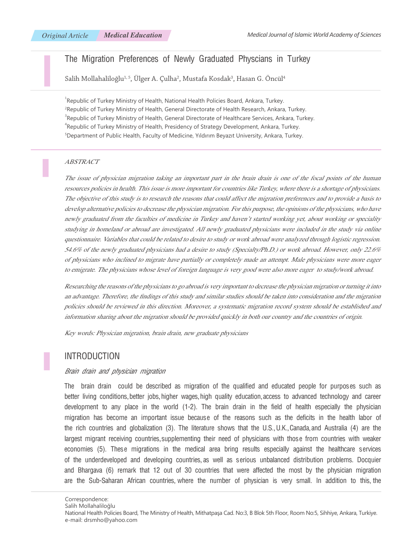# The Migration Preferences of Newly Graduated Physcians in Turkey

Salih Mollahaliloğlu $^{1,\,5}$ , Ulger A. Çulha $^2$ , Mustafa Kosdak $^3$ , Hasan G. Oncül $^4$ 

<sup>1</sup>Republic of Turkey Ministry of Health, National Health Policies Board, Ankara, Turkey. 2 Republic of Turkey Ministry of Health, General Directorate of Health Research, Ankara, Turkey.  $^3$ Republic of Turkey Ministry of Health, General Directorate of Healthcare Services, Ankara, Turkey. 4 Republic of Turkey Ministry of Health, Presidency of Strategy Development, Ankara, Turkey. 5 Department of Public Health, Faculty of Medicine, Yıldırım Beyazıt University, Ankara, Turkey.

#### ABSTRACT

The issue of physician migration taking an important part in the brain drain is one of the focal points of the human resources policies in health. This issue is more important for countries like Turkey, where there is a shortage of physicians. The objective of this study is to research the reasons that could affect the migration preferences and to provide a basis to develop alternative policies to decrease the physician migration. For this purpose, the opinions of the physicians, who have newly graduated from the faculties of medicine in Turkey and haven't started working yet, about working or speciality studying in homeland or abroad are investigated. All newly graduated physicians were included in the study via online questionnaire. Variables that could be related to desire to study or work abroad were analyzed through logistic regression. 54.6% of the newly graduated physicians had a desire to study (Specialty/Ph.D.) or work abroad. However, only 22.6% of physicians who inclined to migrate have partially or completely made an attempt. Male physicians were more eager to emigrate. The physicians whose level of foreign language is very good were also more eager to study/work abroad.

Researching the reasons of the physicians to go abroad is very important to decrease the physician migration or turning it into an advantage. Therefore, the findings of this study and similar studies should be taken into consideration and the migration policies should be reviewed in this direction. Moreover, a systematic migration record system should be established and information sharing about the migration should be provided quickly in both our country and the countries of origin.

Key words: Physician migration, brain drain, new graduate physicians

### Introduction

#### Brain drain and physician migration

The brain drain could be described as migration of the qualified and educated people for purposes such as better living conditions, better jobs, higher wages, high quality education, access to advanced technology and career development to any place in the world (1-2). The brain drain in the field of health especially the physician migration has become an important issue because of the reasons such as the deficits in the health labor of the rich countries and globalization (3). The literature shows that the U.S., U.K., Canada, and Australia (4) are the largest migrant receiving countries, supplementing their need of physicians with those from countries with weaker economies (5). These migrations in the medical area bring results especially against the healthcare services of the underdeveloped and developing countries, as well as serious unbalanced distribution problems. Docquier and Bhargava (6) remark that 12 out of 30 countries that were affected the most by the physician migration are the Sub-Saharan African countries, where the number of physician is very small. In addition to this, the

Correspondence:

Salih Mollahaliloğlu

National Health Policies Board, The Ministry of Health, Mithatpaşa Cad. No:3, B Blok 5th Floor, Room No:5, Sihhiye, Ankara, Turkiye. e-mail: drsmho@yahoo.com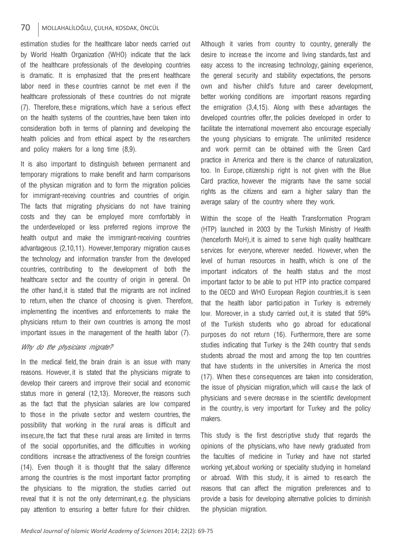### 70 MOLLAHALİLOĞLU, ÇULHA, KOSDAK, ÖNCÜL

estimation studies for the healthcare labor needs carried out by World Health Organization (WHO) indicate that the lack of the healthcare professionals of the developing countries is dramatic. It is emphasized that the present healthcare labor need in these countries cannot be met even if the healthcare professionals of these countries do not migrate (7). Therefore, these migrations, which have a serious effect on the health systems of the countries, have been taken into consideration both in terms of planning and developing the health policies and from ethical aspect by the researchers and policy makers for a long time (8,9).

It is also important to distinguish between permanent and temporary migrations to make benefit and harm comparisons of the physican migration and to form the migration policies for immigrant-receiving countries and countries of origin. The facts that migrating physicians do not have training costs and they can be employed more comfortably in the underdeveloped or less preferred regions improve the health output and make the immigrant-receiving countries advantageous (2,10,11). However, temporary migration causes the technology and information transfer from the developed countries, contributing to the development of both the healthcare sector and the country of origin in general. On the other hand, it is stated that the migrants are not inclined to return, when the chance of choosing is given. Therefore, implementing the incentives and enforcements to make the physicians return to their own countries is among the most important issues in the management of the health labor (7).

#### Why do the physicians migrate?

In the medical field, the brain drain is an issue with many reasons. However, it is stated that the physicians migrate to develop their careers and improve their social and economic status more in general (12,13). Moreover, the reasons such as the fact that the physician salaries are low compared to those in the private sector and western countries, the possibility that working in the rural areas is difficult and insecure, the fact that these rural areas are limited in terms of the social opportunities, and the difficulties in working conditions increase the attractiveness of the foreign countries (14). Even though it is thought that the salary difference among the countries is the most important factor prompting the physicians to the migration, the studies carried out reveal that it is not the only determinant, e.g. the physicians pay attention to ensuring a better future for their children.

Although it varies from country to country, generally the desire to increase the income and living standards, fast and easy access to the increasing technology, gaining experience, the general security and stability expectations, the persons own and his/her child's future and career development, better working conditions are important reasons regarding the emigration (3,4,15). Along with these advantages the developed countries offer, the policies developed in order to facilitate the international movement also encourage especially the young physicians to emigrate. The unlimited residence and work permit can be obtained with the Green Card practice in America and there is the chance of naturalization, too. In Europe, citizenship right is not given with the Blue Card practice, however the migrants have the same social rights as the citizens and earn a higher salary than the average salary of the country where they work.

Within the scope of the Health Transformation Program (HTP) launched in 2003 by the Turkish Ministry of Health (henceforth MoH), it is aimed to serve high quality healthcare services for everyone, wherever needed. However, when the level of human resources in health, which is one of the important indicators of the health status and the most important factor to be able to put HTP into practice compared to the OECD and WHO European Region countries, it is seen that the health labor participation in Turkey is extremely low. Moreover, in a study carried out, it is stated that 59% of the Turkish students who go abroad for educational purposes do not return (16). Furthermore, there are some studies indicating that Turkey is the 24th country that sends students abroad the most and among the top ten countries that have students in the universities in America the most (17). When these consequences are taken into consideration, the issue of physician migration, which will cause the lack of physicians and severe decrease in the scientific development in the country, is very important for Turkey and the policy makers.

This study is the first descriptive study that regards the opinions of the physicians, who have newly graduated from the faculties of medicine in Turkey and have not started working yet, about working or speciality studying in homeland or abroad. With this study, it is aimed to research the reasons that can affect the migration preferences and to provide a basis for developing alternative policies to diminish the physician migration.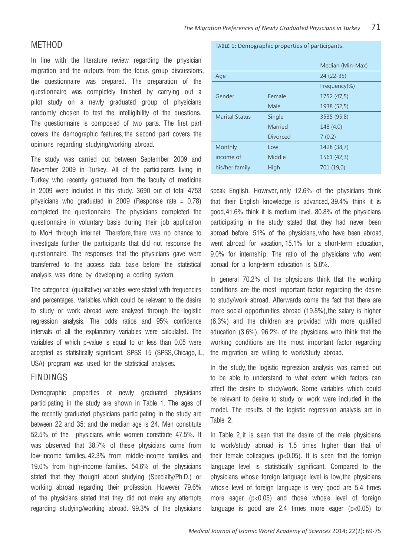# **MFTHOD**

In line with the literature review regarding the physician migration and the outputs from the focus group discussions, the questionnaire was prepared. The preparation of the questionnaire was completely finished by carrying out a pilot study on a newly graduated group of physicians randomly chosen to test the intelligibility of the questions. The questionnaire is composed of two parts. The first part covers the demographic features, the second part covers the opinions regarding studying/working abroad.

The study was carried out between September 2009 and November 2009 in Turkey. All of the participants living in Turkey who recently graduated from the faculty of medicine in 2009 were included in this study. 3690 out of total 4753 physicians who graduated in 2009 (Response rate = 0.78) completed the questionnaire. The physicians completed the questionnaire in voluntary basis during their job application to MoH through internet. Therefore, there was no chance to investigate further the participants that did not response the questionnaire. The responses that the physicians gave were transferred to the access data base before the statistical analysis was done by developing a coding system.

The categorical (qualitative) variables were stated with frequencies and percentages. Variables which could be relevant to the desire to study or work abroad were analyzed through the logistic regression analysis. The odds ratios and 95% confidence intervals of all the explanatory variables were calculated. The variables of which p-value is equal to or less than 0.05 were accepted as statistically significant. SPSS 15 (SPSS, Chicago, IL, USA) program was used for the statistical analyses.

## **FINDINGS**

Demographic properties of newly graduated physicians participating in the study are shown in Table 1. The ages of the recently graduated physicians participating in the study are between 22 and 35; and the median age is 24. Men constitute 52.5% of the physicians while women constitute 47.5%. It was observed that 38.7% of these physicians come from low-income families, 42.3% from middle-income families and 19.0% from high-income families. 54.6% of the physicians stated that they thought about studying (Specialty/Ph.D.) or working abroad regarding their profession. However 79.6% of the physicians stated that they did not make any attempts regarding studying/working abroad. 99.3% of the physicians

#### Table 1: Demographic properties of participants.

|                       |                 | Median (Min-Max) |  |  |  |
|-----------------------|-----------------|------------------|--|--|--|
| Age                   |                 | $24(22-35)$      |  |  |  |
|                       |                 | Frequency(%)     |  |  |  |
| Gender                | Female          | 1752 (47,5)      |  |  |  |
|                       | Male            | 1938 (52,5)      |  |  |  |
| <b>Marital Status</b> | Single          | 3535 (95,8)      |  |  |  |
|                       | Married         | 148 (4,0)        |  |  |  |
|                       | <b>Divorced</b> | 7(0,2)           |  |  |  |
| Monthly               | Low             | 1428 (38,7)      |  |  |  |
| income of             | Middle          | 1561 (42,3)      |  |  |  |
| his/her family        | High            | 701 (19,0)       |  |  |  |

speak English. However, only 12.6% of the physicians think that their English knowledge is advanced, 39.4% think it is good, 41.6% think it is medium level. 80.8% of the physicians participating in the study stated that they had never been abroad before. 51% of the physicians, who have been abroad, went abroad for vacation, 15.1% for a short-term education, 9.0% for internship. The ratio of the physicians who went abroad for a long-term education is 5.8%.

In general 70.2% of the physicians think that the working conditions are the most important factor regarding the desire to study/work abroad. Afterwards come the fact that there are more social opportunities abroad (19.8%), the salary is higher (6.3%) and the children are provided with more qualified education (3.6%). 96.2% of the physicians who think that the working conditions are the most important factor regarding the migration are willing to work/study abroad.

In the study, the logistic regression analysis was carried out to be able to understand to what extent which factors can affect the desire to study/work. Some variables which could be relevant to desire to study or work were included in the model. The results of the logistic regression analysis are in Table 2.

In Table 2, it is seen that the desire of the male physicians to work/study abroad is 1.5 times higher than that of their female colleagues (p<0.05). It is seen that the foreign language level is statistically significant. Compared to the physicians whose foreign language level is low, the physicians whose level of foreign language is very good are 5.4 times more eager (p<0.05) and those whose level of foreign language is good are 2.4 times more eager (p<0.05) to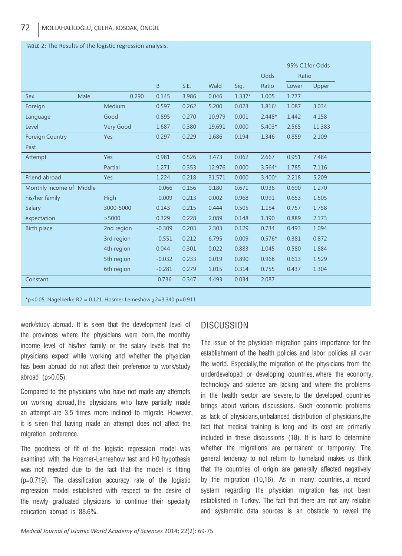#### Table 2: The Results of the logistic regression analysis.

|                          |      |             |          |       |        |          |          |       | 95% C.I.for Odds |
|--------------------------|------|-------------|----------|-------|--------|----------|----------|-------|------------------|
|                          |      |             |          |       |        |          | Odds     | Ratio |                  |
|                          |      |             | B        | S.E.  | Wald   | Sig.     | Ratio    | Lower | Upper            |
| <b>Sex</b>               | Male | 0.290       | 0.145    | 3.986 | 0.046  | $1.337*$ | 1.005    | 1.777 |                  |
| Foreign                  |      | Medium      | 0.597    | 0.262 | 5.200  | 0.023    | $1.816*$ | 1.087 | 3.034            |
| Language                 |      | Good        | 0.895    | 0.270 | 10.979 | 0.001    | $2.448*$ | 1.442 | 4.158            |
| Level                    |      | Very Good   | 1.687    | 0.380 | 19.691 | 0.000    | $5.403*$ | 2.565 | 11,383           |
| <b>Foreign Country</b>   |      | Yes         | 0.297    | 0.229 | 1.686  | 0.194    | 1.346    | 0.859 | 2,109            |
| Past                     |      |             |          |       |        |          |          |       |                  |
| Attempt                  |      | Yes         | 0.981    | 0.526 | 3.473  | 0.062    | 2.667    | 0.951 | 7.484            |
|                          |      | Partial     | 1.271    | 0.353 | 12.976 | 0.000    | $3.564*$ | 1.785 | 7,116            |
| Friend abroad            |      | Yes         | 1.224    | 0.218 | 31.571 | 0.000    | $3.400*$ | 2.218 | 5,209            |
| Monthly income of Middle |      | $-0.066$    | 0.156    | 0.180 | 0.671  | 0.936    | 0.690    | 1.270 |                  |
| his/her family           |      | <b>High</b> | $-0.009$ | 0.213 | 0.002  | 0.968    | 0.991    | 0.653 | 1.505            |
| Salary                   |      | 3000-5000   | 0.143    | 0.215 | 0.444  | 0.505    | 1.154    | 0.757 | 1.758            |
| expectation              |      | > 5000      | 0.329    | 0.228 | 2.089  | 0.148    | 1.390    | 0.889 | 2.173            |
| <b>Birth place</b>       |      | 2nd region  | $-0.309$ | 0.203 | 2.303  | 0.129    | 0.734    | 0.493 | 1.094            |
|                          |      | 3rd region  | $-0.551$ | 0.212 | 6.795  | 0.009    | $0.576*$ | 0.381 | 0.872            |
|                          |      | 4th region  | 0.044    | 0.301 | 0.022  | 0.883    | 1.045    | 0.580 | 1.884            |
|                          |      | 5th region  | $-0.032$ | 0.233 | 0.019  | 0.890    | 0.968    | 0.613 | 1.529            |
|                          |      | 6th region  | $-0.281$ | 0.279 | 1.015  | 0.314    | 0.755    | 0.437 | 1.304            |
| Constant                 |      |             | 0.736    | 0.347 | 4.493  | 0.034    | 2.087    |       |                  |

 $*p$ <0.05, Nagelkerke R2 = 0.121, Hosmer Lemeshow  $\chi$ 2=3.340 p=0.911

work/study abroad. It is seen that the development level of the provinces where the physicians were born, the monthly income level of his/her family or the salary levels that the physicians expect while working and whether the physician has been abroad do not affect their preference to work/study abroad (p>0.05).

Compared to the physicians who have not made any attempts on working abroad, the physicians who have partially made an attempt are 3.5 times more inclined to migrate. However, it is seen that having made an attempt does not affect the migration preference.

The goodness of fit of the logistic regression model was examined with the Hosmer-Lemeshow test and H0 hypothesis was not rejected due to the fact that the model is fitting (p=0.719). The classification accuracy rate of the logistic regression model established with respect to the desire of the newly graduated physicians to continue their specialty education abroad is 88.6%.

## **DISCUSSION**

The issue of the physician migration gains importance for the establishment of the health policies and labor policies all over the world. Especially, the migration of the physicians from the underdeveloped or developing countries, where the economy, technology and science are lacking and where the problems in the health sector are severe, to the developed countries brings about various discussions. Such economic problems as lack of physicians, unbalanced distribution of physicians, the fact that medical training is long and its cost are primarily included in these discussions (18). It is hard to determine whether the migrations are permanent or temporary. The general tendency to not return to homeland makes us think that the countries of origin are generally affected negatively by the migration (10,16). As in many countries, a record system regarding the physician migration has not been established in Turkey. The fact that there are not any reliable and systematic data sources is an obstacle to reveal the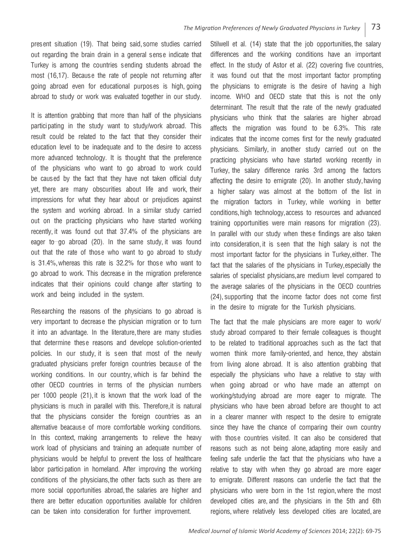present situation (19). That being said, some studies carried out regarding the brain drain in a general sense indicate that Turkey is among the countries sending students abroad the most (16,17). Because the rate of people not returning after going abroad even for educational purposes is high, going abroad to study or work was evaluated together in our study.

It is attention grabbing that more than half of the physicians participating in the study want to study/work abroad. This result could be related to the fact that they consider their education level to be inadequate and to the desire to access more advanced technology. It is thought that the preference of the physicians who want to go abroad to work could be caused by the fact that they have not taken official duty yet, there are many obscurities about life and work, their impressions for what they hear about or prejudices against the system and working abroad. In a similar study carried out on the practicing physicians who have started working recently, it was found out that 37.4% of the physicians are eager to go abroad (20). In the same study, it was found out that the rate of those who want to go abroad to study is 31.4%, whereas this rate is 32.2% for those who want to go abroad to work. This decrease in the migration preference indicates that their opinions could change after starting to work and being included in the system.

Researching the reasons of the physicians to go abroad is very important to decrease the physician migration or to turn it into an advantage. In the literature, there are many studies that determine these reasons and develope solution-oriented policies. In our study, it is seen that most of the newly graduated physicians prefer foreign countries because of the working conditions. In our country, which is far behind the other OECD countries in terms of the physician numbers per 1000 people (21), it is known that the work load of the physicians is much in parallel with this. Therefore, it is natural that the physicians consider the foreign countries as an alternative beacause of more comfortable working conditions. In this context, making arrangements to relieve the heavy work load of physicians and training an adequate number of physicians would be helpful to prevent the loss of healthcare labor participation in homeland. After improving the working conditions of the physicians, the other facts such as there are more social opportunities abroad, the salaries are higher and there are better education opportunities available for children can be taken into consideration for further improvement.

Stilwell et al. (14) state that the job opportunities, the salary differences and the working conditions have an important effect. In the study of Astor et al. (22) covering five countries, it was found out that the most important factor prompting the physicians to emigrate is the desire of having a high income. WHO and OECD state that this is not the only determinant. The result that the rate of the newly graduated physicians who think that the salaries are higher abroad affects the migration was found to be 6.3%. This rate indicates that the income comes first for the newly graduated physicians. Similarly, in another study carried out on the practicing physicians who have started working recently in Turkey, the salary difference ranks 3rd among the factors affecting the desire to emigrate (20). In another study, having a higher salary was almost at the bottom of the list in the migration factors in Turkey, while working in better conditions, high technology, access to resources and advanced training opportunities were main reasons for migration (23). In parallel with our study when these findings are also taken into consideration, it is seen that the high salary is not the most important factor for the physicians in Turkey, either. The fact that the salaries of the physicians in Turkey, especially the salaries of specialist physicians, are medium level compared to the average salaries of the physicians in the OECD countries (24), supporting that the income factor does not come first in the desire to migrate for the Turkish physicians.

The fact that the male physicians are more eager to work/ study abroad compared to their female colleagues is thought to be related to traditional approaches such as the fact that women think more family-oriented, and hence, they abstain from living alone abroad. It is also attention grabbing that especially the physicians who have a relative to stay with when going abroad or who have made an attempt on working/studying abroad are more eager to migrate. The physicians who have been abroad before are thought to act in a clearer manner with respect to the desire to emigrate since they have the chance of comparing their own country with those countries visited. It can also be considered that reasons such as not being alone, adapting more easily and feeling safe underlie the fact that the physicians who have a relative to stay with when they go abroad are more eager to emigrate. Different reasons can underlie the fact that the physicians who were born in the 1st region, where the most developed cities are, and the physicians in the 5th and 6th regions, where relatively less developed cities are located, are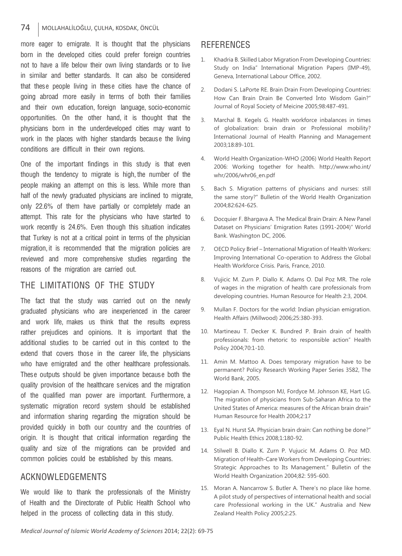### 74 MOLLAHALİLOĞLU, ÇULHA, KOSDAK, ÖNCÜL

more eager to emigrate. It is thought that the physicians born in the developed cities could prefer foreign countries not to have a life below their own living standards or to live in similar and better standards. It can also be considered that these people living in these cities have the chance of going abroad more easily in terms of both their families' and their own education, foreign language, socio-economic opportunities. On the other hand, it is thought that the physicians born in the underdeveloped cities may want to work in the places with higher standards because the living conditions are difficult in their own regions.

One of the important findings in this study is that even though the tendency to migrate is high, the number of the people making an attempt on this is less. While more than half of the newly graduated physicians are inclined to migrate, only 22.6% of them have partially or completely made an attempt. This rate for the physicians who have started to work recently is 24.6%. Even though this situation indicates that Turkey is not at a critical point in terms of the physician migration, it is recommended that the migration policies are reviewed and more comprehensive studies regarding the reasons of the migration are carried out.

# The Limitations of the Study

The fact that the study was carried out on the newly graduated physicians who are inexperienced in the career and work life, makes us think that the results express rather prejudices and opinions. It is important that the additional studies to be carried out in this context to the extend that covers those in the career life, the physicians who have emigrated and the other healthcare professionals. These outputs should be given importance because both the quality provision of the healthcare services and the migration of the qualified man power are important. Furthermore, a systematic migration record system should be established and information sharing regarding the migration should be provided quickly in both our country and the countries of origin. It is thought that critical information regarding the quality and size of the migrations can be provided and common policies could be established by this means.

## Acknowledgements

We would like to thank the professionals of the Ministry of Health and the Directorate of Public Health School who helped in the process of collecting data in this study.

### **REFERENCES**

- 1. Khadria B. Skilled Labor Migration From Developing Countries: Study on India" International Migration Papers (IMP-49), Geneva, International Labour Office, 2002.
- 2. Dodani S. LaPorte RE. Brain Drain From Developing Countries: How Can Brain Drain Be Converted İnto Wisdom Gain?" Journal of Royal Society of Meicine 2005;98:487-491.
- 3. Marchal B. Kegels G. Health workforce inbalances in times of globalization: brain drain or Professional mobility? International Journal of Health Planning and Management 2003;18:89-101.
- 4. World Health Organization-WHO (2006) World Health Report 2006: Working together for health. http://www.who.int/ whr/2006/whr06\_en.pdf
- 5. Bach S. Migration patterns of physicians and nurses: still the same story?" Bulletin of the World Health Organization 2004;82:624-625.
- 6. Docquier F. Bhargava A. The Medical Brain Drain: A New Panel Dataset on Physicians' Emigration Rates (1991-2004)" World Bank. Washington DC, 2006.
- 7. OECD Policy Brief International Migration of Health Workers: Improving International Co-operation to Address the Global Health Workforce Crisis. Paris, France, 2010.
- 8. Vujicic M. Zurn P. Diallo K. Adams O. Dal Poz MR. The role of wages in the migration of health care professionals from developing countries. Human Resource for Health 2:3, 2004.
- 9. Mullan F. Doctors for the world: Indian physician emigration. Health Affairs (Millwood) 2006;25:380-393.
- 10. Martineau T. Decker K. Bundred P. Brain drain of health professionals: from rhetoric to responsible action" Health Policy 2004;70:1-10.
- 11. Amin M. Mattoo A. Does temporary migration have to be permanent? Policy Research Working Paper Series 3582, The World Bank, 2005.
- 12. Hagopian A. Thompson MJ, Fordyce M. Johnson KE, Hart LG. The migration of physicians from Sub-Saharan Africa to the United States of America: measures of the African brain drain" Human Resource for Health 2004;2:17
- 13. Eyal N. Hurst SA. Physician brain drain: Can nothing be done?" Public Health Ethics 2008;1:180-92.
- 14. Stilwell B. Diallo K. Zurn P. Vujucic M. Adams O. Poz MD. Migration of Health-Care Workers from Developing Countries: Strategic Approaches to Its Management." Bulletin of the World Health Organization 2004;82: 595-600.
- 15. Moran A. Nancarrow S. Butler A. There's no place like home. A pilot study of perspectives of international health and social care Professional working in the UK." Australia and New Zealand Health Policy 2005;2:25.